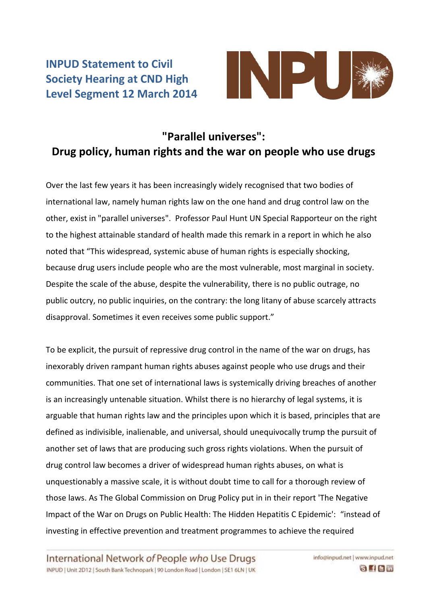## **INPUD Statement to Civil Society Hearing at CND High Level Segment 12 March 2014**



## **"Parallel universes": Drug policy, human rights and the war on people who use drugs**

Over the last few years it has been increasingly widely recognised that two bodies of international law, namely human rights law on the one hand and drug control law on the other, exist in "parallel universes". Professor Paul Hunt UN Special Rapporteur on the right to the highest attainable standard of health made this remark in a report in which he also noted that "This widespread, systemic abuse of human rights is especially shocking, because drug users include people who are the most vulnerable, most marginal in society. Despite the scale of the abuse, despite the vulnerability, there is no public outrage, no public outcry, no public inquiries, on the contrary: the long litany of abuse scarcely attracts disapproval. Sometimes it even receives some public support."

To be explicit, the pursuit of repressive drug control in the name of the war on drugs, has inexorably driven rampant human rights abuses against people who use drugs and their communities. That one set of international laws is systemically driving breaches of another is an increasingly untenable situation. Whilst there is no hierarchy of legal systems, it is arguable that human rights law and the principles upon which it is based, principles that are defined as indivisible, inalienable, and universal, should unequivocally trump the pursuit of another set of laws that are producing such gross rights violations. When the pursuit of drug control law becomes a driver of widespread human rights abuses, on what is unquestionably a massive scale, it is without doubt time to call for a thorough review of those laws. As The Global Commission on Drug Policy put in in their report 'The Negative Impact of the War on Drugs on Public Health: The Hidden Hepatitis C Epidemic': "instead of investing in effective prevention and treatment programmes to achieve the required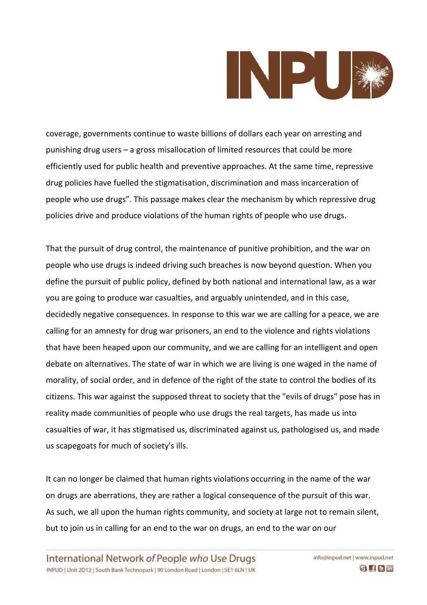

coverage, governments continue to waste billions of dollars each year on arresting and punishing drug users – a gross misallocation of limited resources that could be more efficiently used for public health and preventive approaches. At the same time, repressive drug policies have fuelled the stigmatisation, discrimination and mass incarceration of people who use drugs". This passage makes clear the mechanism by which repressive drug policies drive and produce violations of the human rights of people who use drugs.

That the pursuit of drug control, the maintenance of punitive prohibition, and the war on people who use drugs is indeed driving such breaches is now beyond question. When you define the pursuit of public policy, defined by both national and international law, as a war you are going to produce war casualties, and arguably unintended, and in this case, decidedly negative consequences. In response to this war we are calling for a peace, we are calling for an amnesty for drug war prisoners, an end to the violence and rights violations that have been heaped upon our community, and we are calling for an intelligent and open debate on alternatives. The state of war in which we are living is one waged in the name of morality, of social order, and in defence of the right of the state to control the bodies of its citizens. This war against the supposed threat to society that the "evils of drugs" pose has in reality made communities of people who use drugs the real targets, has made us into casualties of war, it has stigmatised us, discriminated against us, pathologised us, and made us scapegoats for much of society's ills.

It can no longer be claimed that human rights violations occurring in the name of the war on drugs are aberrations, they are rather a logical consequence of the pursuit of this war. As such, we all upon the human rights community, and society at large not to remain silent, but to join us in calling for an end to the war on drugs, an end to the war on our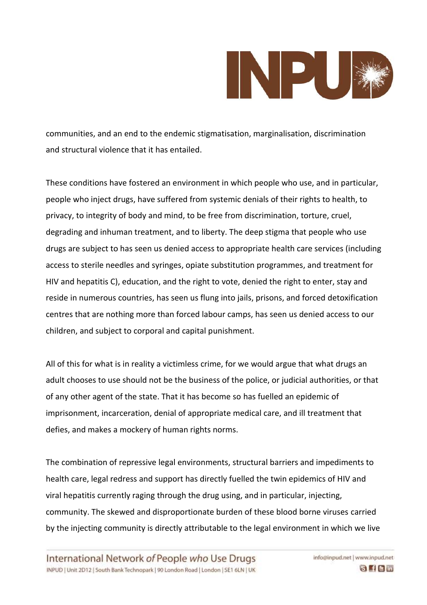

communities, and an end to the endemic stigmatisation, marginalisation, discrimination and structural violence that it has entailed.

These conditions have fostered an environment in which people who use, and in particular, people who inject drugs, have suffered from systemic denials of their rights to health, to privacy, to integrity of body and mind, to be free from discrimination, torture, cruel, degrading and inhuman treatment, and to liberty. The deep stigma that people who use drugs are subject to has seen us denied access to appropriate health care services (including access to sterile needles and syringes, opiate substitution programmes, and treatment for HIV and hepatitis C), education, and the right to vote, denied the right to enter, stay and reside in numerous countries, has seen us flung into jails, prisons, and forced detoxification centres that are nothing more than forced labour camps, has seen us denied access to our children, and subject to corporal and capital punishment.

All of this for what is in reality a victimless crime, for we would argue that what drugs an adult chooses to use should not be the business of the police, or judicial authorities, or that of any other agent of the state. That it has become so has fuelled an epidemic of imprisonment, incarceration, denial of appropriate medical care, and ill treatment that defies, and makes a mockery of human rights norms.

The combination of repressive legal environments, structural barriers and impediments to health care, legal redress and support has directly fuelled the twin epidemics of HIV and viral hepatitis currently raging through the drug using, and in particular, injecting, community. The skewed and disproportionate burden of these blood borne viruses carried by the injecting community is directly attributable to the legal environment in which we live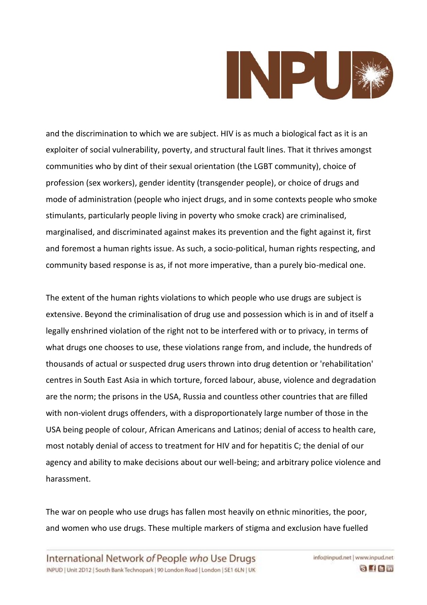

and the discrimination to which we are subject. HIV is as much a biological fact as it is an exploiter of social vulnerability, poverty, and structural fault lines. That it thrives amongst communities who by dint of their sexual orientation (the LGBT community), choice of profession (sex workers), gender identity (transgender people), or choice of drugs and mode of administration (people who inject drugs, and in some contexts people who smoke stimulants, particularly people living in poverty who smoke crack) are criminalised, marginalised, and discriminated against makes its prevention and the fight against it, first and foremost a human rights issue. As such, a socio-political, human rights respecting, and community based response is as, if not more imperative, than a purely bio-medical one.

The extent of the human rights violations to which people who use drugs are subject is extensive. Beyond the criminalisation of drug use and possession which is in and of itself a legally enshrined violation of the right not to be interfered with or to privacy, in terms of what drugs one chooses to use, these violations range from, and include, the hundreds of thousands of actual or suspected drug users thrown into drug detention or 'rehabilitation' centres in South East Asia in which torture, forced labour, abuse, violence and degradation are the norm; the prisons in the USA, Russia and countless other countries that are filled with non-violent drugs offenders, with a disproportionately large number of those in the USA being people of colour, African Americans and Latinos; denial of access to health care, most notably denial of access to treatment for HIV and for hepatitis C; the denial of our agency and ability to make decisions about our well-being; and arbitrary police violence and harassment.

The war on people who use drugs has fallen most heavily on ethnic minorities, the poor, and women who use drugs. These multiple markers of stigma and exclusion have fuelled